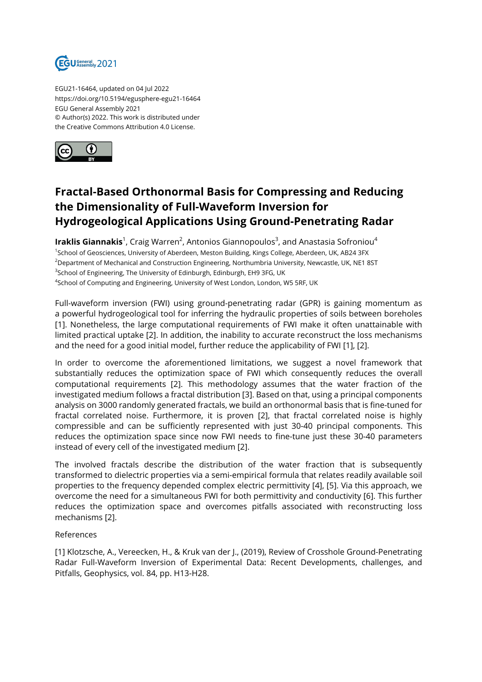

EGU21-16464, updated on 04 Jul 2022 https://doi.org/10.5194/egusphere-egu21-16464 EGU General Assembly 2021 © Author(s) 2022. This work is distributed under the Creative Commons Attribution 4.0 License.



## **Fractal-Based Orthonormal Basis for Compressing and Reducing the Dimensionality of Full-Waveform Inversion for Hydrogeological Applications Using Ground-Penetrating Radar**

**Iraklis Giannakis**<sup>1</sup>, Craig Warren<sup>2</sup>, Antonios Giannopoulos<sup>3</sup>, and Anastasia Sofroniou<sup>4</sup> <sup>1</sup>School of Geosciences, University of Aberdeen, Meston Building, Kings College, Aberdeen, UK, AB24 3FX <sup>2</sup>Department of Mechanical and Construction Engineering, Northumbria University, Newcastle, UK, NE1 8ST <sup>3</sup>School of Engineering, The University of Edinburgh, Edinburgh, EH9 3FG, UK <sup>4</sup>School of Computing and Engineering, University of West London, London, W5 5RF, UK

Full-waveform inversion (FWI) using ground-penetrating radar (GPR) is gaining momentum as a powerful hydrogeological tool for inferring the hydraulic properties of soils between boreholes [1]. Nonetheless, the large computational requirements of FWI make it often unattainable with limited practical uptake [2]. In addition, the inability to accurate reconstruct the loss mechanisms and the need for a good initial model, further reduce the applicability of FWI [1], [2].

In order to overcome the aforementioned limitations, we suggest a novel framework that substantially reduces the optimization space of FWI which consequently reduces the overall computational requirements [2]. This methodology assumes that the water fraction of the investigated medium follows a fractal distribution [3]. Based on that, using a principal components analysis on 3000 randomly generated fractals, we build an orthonormal basis that is fine-tuned for fractal correlated noise. Furthermore, it is proven [2], that fractal correlated noise is highly compressible and can be sufficiently represented with just 30-40 principal components. This reduces the optimization space since now FWI needs to fine-tune just these 30-40 parameters instead of every cell of the investigated medium [2].

The involved fractals describe the distribution of the water fraction that is subsequently transformed to dielectric properties via a semi-empirical formula that relates readily available soil properties to the frequency depended complex electric permittivity [4], [5]. Via this approach, we overcome the need for a simultaneous FWI for both permittivity and conductivity [6]. This further reduces the optimization space and overcomes pitfalls associated with reconstructing loss mechanisms [2].

## References

[1] Klotzsche, A., Vereecken, H., & Kruk van der J., (2019), Review of Crosshole Ground-Penetrating Radar Full-Waveform Inversion of Experimental Data: Recent Developments, challenges, and Pitfalls, Geophysics, vol. 84, pp. H13-H28.